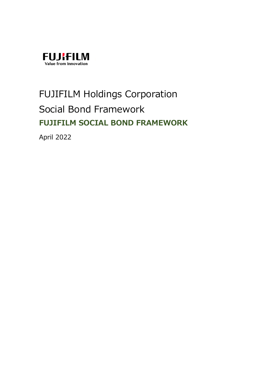

# FUJIFILM Holdings Corporation Social Bond Framework **FUJIFILM SOCIAL BOND FRAMEWORK**

April 2022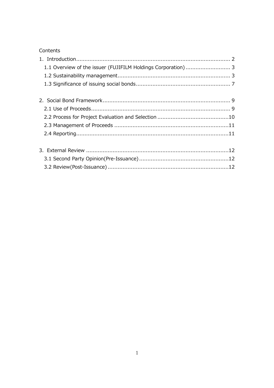# Contents

| 1.1 Overview of the issuer (FUJIFILM Holdings Corporation) 3 |  |
|--------------------------------------------------------------|--|
|                                                              |  |
|                                                              |  |
|                                                              |  |
|                                                              |  |
|                                                              |  |
|                                                              |  |
|                                                              |  |
|                                                              |  |
|                                                              |  |
|                                                              |  |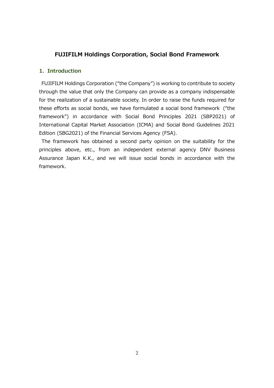# **FUJIFILM Holdings Corporation, Social Bond Framework**

## **1. Introduction**

FUJIFILM Holdings Corporation ("the Company") is working to contribute to society through the value that only the Company can provide as a company indispensable for the realization of a sustainable society. In order to raise the funds required for these efforts as social bonds, we have formulated a social bond framework ("the framework") in accordance with Social Bond Principles 2021 (SBP2021) of International Capital Market Association (ICMA) and Social Bond Guidelines 2021 Edition (SBG2021) of the Financial Services Agency (FSA).

The framework has obtained a second party opinion on the suitability for the principles above, etc., from an independent external agency DNV Business Assurance Japan K.K., and we will issue social bonds in accordance with the framework.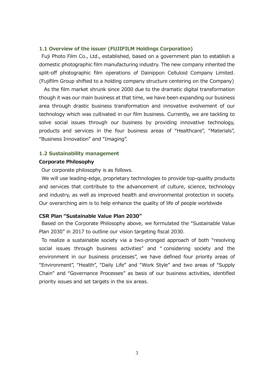## **1.1 Overview of the issuer (FUJIFILM Holdings Corporation)**

Fuji Photo Film Co., Ltd., established, based on a government plan to establish a domestic photographic film manufacturing industry. The new company inherited the split-off photographic film operations of Dainippon Celluloid Company Limited. (Fujifilm Group shifted to a holding company structure centering on the Company)

As the film market shrunk since 2000 due to the dramatic digital transformation though it was our main business at that time, we have been expanding our business area through drastic business transformation and innovative evolvement of our technology which was cultivated in our film business. Currently, we are tackling to solve social issues through our business by providing innovative technology, products and services in the four business areas of "Healthcare", "Materials", "Business Innovation" and "Imaging".

### **1.2 Sustainability management**

#### **Corporate Philosophy**

Our corporate philosophy is as follows.

We will use leading-edge, proprietary technologies to provide top-quality products and services that contribute to the advancement of culture, science, technology and industry, as well as improved health and environmental protection in society. Our overarching aim is to help enhance the quality of life of people worldwide

#### **CSR Plan "Sustainable Value Plan 2030"**

Based on the Corporate Philosophy above, we formulated the "Sustainable Value Plan 2030" in 2017 to outline our vision targeting fiscal 2030.

To realize a sustainable society via a two-pronged approach of both "resolving social issues through business activities" and " considering society and the environment in our business processes", we have defined four priority areas of "Environment", "Health", "Daily Life" and "Work Style" and two areas of "Supply Chain" and "Governance Processes" as basis of our business activities, identified priority issues and set targets in the six areas.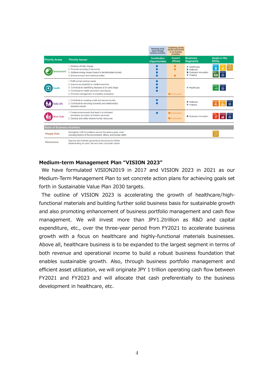|                                     |                                                                                                                                                                                                                                           | <b>Resolving social</b><br>issues through<br>business activities | <b>Considering society</b><br>and the environment<br>in our business<br>processes |                                                                                                                             |                             |  |
|-------------------------------------|-------------------------------------------------------------------------------------------------------------------------------------------------------------------------------------------------------------------------------------------|------------------------------------------------------------------|-----------------------------------------------------------------------------------|-----------------------------------------------------------------------------------------------------------------------------|-----------------------------|--|
| <b>Priority Areas</b>               | <b>Priority Issues</b>                                                                                                                                                                                                                    | <b>Contribution</b><br>(Opportunities)                           | Impact<br>(Risks)                                                                 | <b>Business</b><br><b>Segments</b>                                                                                          | Goals in the<br><b>SDGs</b> |  |
| Environment                         | 1. Address climate change<br>2. Promote recycling of resources<br>3. Address energy issues toward a decarbonized society<br>4. Ensure product and chemical safety                                                                         |                                                                  |                                                                                   | $\blacktriangleright$ Healthcare<br>$\blacktriangleright$ Materials<br>Rusiness Innovation<br>$\blacktriangleright$ Imaging | $\overline{a}$              |  |
| <b>lealth</b>                       | 1. Fulfill unmet medical needs<br>2. Improve accessibility to medical services<br>3. Contribute to identifying diseases at an early stage<br>4. Contribute to health promotion and beauty<br>5. Promote management of a healthy workplace |                                                                  | C(Employees)                                                                      | $\blacktriangleright$ Healthcare                                                                                            |                             |  |
| <b>Daily Life</b>                   | 1. Contribute to creating a safe and secure society<br>2. Contribute to enriching humanity and relationships<br>between people                                                                                                            |                                                                  |                                                                                   | $\blacktriangleright$ Materials<br>$\blacktriangleright$ Imaging                                                            |                             |  |
| <b>Nork Style</b>                   | 1. Create environments that lead to a motivated<br>workplace (provision of solution services)<br>2. Develop and utilize diverse human resources                                                                                           |                                                                  | C(Employees)<br>C(Employees)                                                      | ▶ Business Innovation                                                                                                       |                             |  |
| <b>Basis of Business Activities</b> |                                                                                                                                                                                                                                           |                                                                  |                                                                                   |                                                                                                                             |                             |  |
| •Supply Chain                       | Strengthen CSR foundations across the entire supply chain<br>including factors of the environment, ethics, and human rights                                                                                                               |                                                                  |                                                                                   |                                                                                                                             | $\overline{\infty}$         |  |
| • Governance                        | Improve and maintain governance structures by further<br>disseminating an open, fair and clear corporate culture                                                                                                                          |                                                                  |                                                                                   |                                                                                                                             |                             |  |

#### **Medium-term Management Plan "VISION 2023"**

We have formulated VISION2019 in 2017 and VISION 2023 in 2021 as our Medium-Term Management Plan to set concrete action plans for achieving goals set forth in Sustainable Value Plan 2030 targets.

The outline of VISION 2023 is accelerating the growth of healthcare/highfunctional materials and building further solid business basis for sustainable growth and also promoting enhancement of business portfolio management and cash flow management. We will invest more than JPY1.2trillion as R&D and capital expenditure, etc., over the three-year period from FY2021 to accelerate business growth with a focus on healthcare and highly-functional materials businesses. Above all, healthcare business is to be expanded to the largest segment in terms of both revenue and operational income to build a robust business foundation that enables sustainable growth. Also, through business portfolio management and efficient asset utilization, we will originate JPY 1 trillion operating cash flow between FY2021 and FY2023 and will allocate that cash preferentially to the business development in healthcare, etc.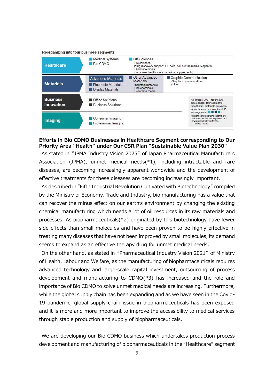

### **Efforts in Bio CDMO Businesses in Healthcare Segment corresponding to Our Priority Area "Health" under Our CSR Plan "Sustainable Value Plan 2030"**

As stated in "JPMA Industry Vision 2025" of Japan Pharmaceutical Manufacturers Association (JPMA), unmet medical needs $(*1)$ , including intractable and rare diseases, are becoming increasingly apparent worldwide and the development of effective treatments for these diseases are becoming increasingly important.

As described in "Fifth Industrial Revolution Cultivated with Biotechnology" compiled by the Ministry of Economy, Trade and Industry, bio manufacturing has a value that can recover the minus effect on our earth's environment by changing the existing chemical manufacturing which needs a lot of oil resources in its raw materials and processes. As biopharmaceuticals(\*2) originated by this biotechnology have fewer side effects than small molecules and have been proven to be highly effective in treating many diseases that have not been improved by small molecules, its demand seems to expand as an effective therapy drug for unmet medical needs.

On the other hand, as stated in "Pharmaceutical Industry Vision 2021" of Ministry of Health, Labour and Welfare, as the manufacturing of biopharmaceuticals requires advanced technology and large-scale capital investment, outsourcing of process development and manufacturing to CDMO(\*3) has increased and the role and importance of Bio CDMO to solve unmet medical needs are increasing. Furthermore, while the global supply chain has been expanding and as we have seen in the Covid-19 pandemic, global supply chain issue in biopharmaceuticals has been exposed and it is more and more important to improve the accessibility to medical services through stable production and supply of biopharmaceuticals.

We are developing our Bio CDMO business which undertakes production process development and manufacturing of biopharmaceuticals in the "Healthcare" segment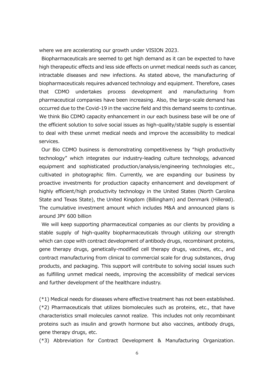where we are accelerating our growth under VISION 2023.

Biopharmaceuticals are seemed to get high demand as it can be expected to have high therapeutic effects and less side effects on unmet medical needs such as cancer, intractable diseases and new infections. As stated above, the manufacturing of biopharmaceuticals requires advanced technology and equipment. Therefore, cases that CDMO undertakes process development and manufacturing from pharmaceutical companies have been increasing. Also, the large-scale demand has occurred due to the Covid-19 in the vaccine field and this demand seems to continue. We think Bio CDMO capacity enhancement in our each business base will be one of the efficient solution to solve social issues as high-quality/stable supply is essential to deal with these unmet medical needs and improve the accessibility to medical services.

Our Bio CDMO business is demonstrating competitiveness by "high productivity technology" which integrates our industry-leading culture technology, advanced equipment and sophisticated production/analysis/engineering technologies etc., cultivated in photographic film. Currently, we are expanding our business by proactive investments for production capacity enhancement and development of highly efficient/high productivity technology in the United States (North Carolina State and Texas State), the United Kingdom (Billingham) and Denmark (Hillerød). The cumulative investment amount which includes M&A and announced plans is around JPY 600 billion

We will keep supporting pharmaceutical companies as our clients by providing a stable supply of high-quality biopharmaceuticals through utilizing our strength which can cope with contract development of antibody drugs, recombinant proteins, gene therapy drugs, genetically-modified cell therapy drugs, vaccines, etc., and contract manufacturing from clinical to commercial scale for drug substances, drug products, and packaging. This support will contribute to solving social issues such as fulfilling unmet medical needs, improving the accessibility of medical services and further development of the healthcare industry.

(\*1) Medical needs for diseases where effective treatment has not been established. (\*2) Pharmaceuticals that utilizes biomolecules such as proteins, etc., that have characteristics small molecules cannot realize. This includes not only recombinant proteins such as insulin and growth hormone but also vaccines, antibody drugs, gene therapy drugs, etc.

(\*3) Abbreviation for Contract Development & Manufacturing Organization.

6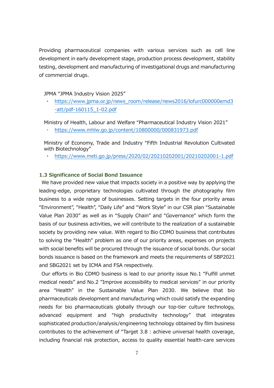Providing pharmaceutical companies with various services such as cell line development in early development stage, production process development, stability testing, development and manufacturing of investigational drugs and manufacturing of commercial drugs.

JPMA "JPMA Industry Vision 2025"

[https://www.jpma.or.jp/news\\_room/release/news2016/lofurc000000emd3](https://www.jpma.or.jp/news_room/release/news2016/lofurc000000emd3-att/pdf-160115_1-02.pdf) [-att/pdf-160115\\_1-02.pdf](https://www.jpma.or.jp/news_room/release/news2016/lofurc000000emd3-att/pdf-160115_1-02.pdf)

Ministry of Health, Labour and Welfare "Pharmaceutical Industry Vision 2021"

<https://www.mhlw.go.jp/content/10800000/000831973.pdf>

Ministry of Economy, Trade and Industry "Fifth Industrial Revolution Cultivated with Biotechnology"

・ <https://www.meti.go.jp/press/2020/02/20210202001/20210202001-1.pdf>

# **1.3 Significance of Social Bond Issuance**

We have provided new value that impacts society in a positive way by applying the leading-edge, proprietary technologies cultivated through the photography film business to a wide range of businesses. Setting targets in the four priority areas "Environment", "Health", "Daily Life" and "Work Style" in our CSR plan "Sustainable Value Plan 2030" as well as in "Supply Chain" and "Governance" which form the basis of our business activities, we will contribute to the realization of a sustainable society by providing new value. With regard to Bio CDMO business that contributes to solving the "Health" problem as one of our priority areas, expenses on projects with social benefits will be procured through the issuance of social bonds. Our social bonds issuance is based on the framework and meets the requirements of SBP2021 and SBG2021 set by ICMA and FSA respectively.

Our efforts in Bio CDMO business is lead to our priority issue No.1 "Fulfill unmet medical needs" and No.2 "Improve accessibility to medical services" in our priority area "Health" in the Sustainable Value Plan 2030. We believe that bio pharmaceuticals development and manufacturing which could satisfy the expanding needs for bio pharmaceuticals globally through our top-tier culture technology, advanced equipment and "high productivity technology" that integrates sophisticated production/analysis/engineering technology obtained by film business contributes to the achievement of "Target 3.8 : achieve universal health coverage, including financial risk protection, access to quality essential health-care services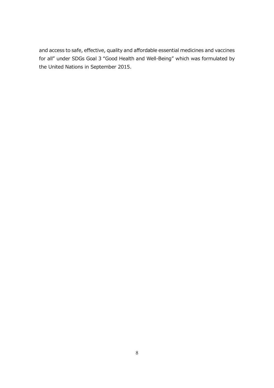and access to safe, effective, quality and affordable essential medicines and vaccines for all" under SDGs Goal 3 "Good Health and Well-Being" which was formulated by the United Nations in September 2015.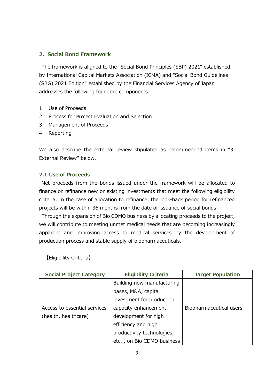# **2.Social Bond Framework**

The framework is aligned to the "Social Bond Principles (SBP) 2021" established by International Capital Markets Association (ICMA) and "Social Bond Guidelines (SBG) 2021 Edition" established by the Financial Services Agency of Japan addresses the following four core components.

- 1. Use of Proceeds
- 2. Process for Project Evaluation and Selection
- 3. Management of Proceeds
- 4. Reporting

We also describe the external review stipulated as recommended items in "3. External Review" below.

# **2.1 Use of Proceeds**

Net proceeds from the bonds issued under the framework will be allocated to finance or refinance new or existing investments that meet the following eligibility criteria. In the case of allocation to refinance, the look-back period for refinanced projects will be within 36 months from the date of issuance of social bonds.

Through the expansion of Bio CDMO business by allocating proceeds to the project, we will contribute to meeting unmet medical needs that are becoming increasingly apparent and improving access to medical services by the development of production process and stable supply of biopharmaceuticals.

【Eligibility Criteria】

| <b>Social Project Category</b> | <b>Eligibility Criteria</b> | <b>Target Population</b> |
|--------------------------------|-----------------------------|--------------------------|
|                                | Building new manufacturing  |                          |
|                                | bases, M&A, capital         |                          |
|                                | investment for production   |                          |
| Access to essential services   | capacity enhancement,       | Biopharmaceutical users  |
| (health, healthcare)           | development for high        |                          |
|                                | efficiency and high         |                          |
|                                | productivity technologies,  |                          |
|                                | etc., on Bio CDMO business  |                          |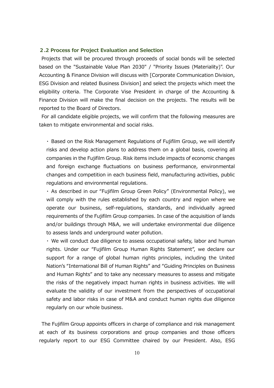#### **2.2 Process for Project Evaluation and Selection**

Projects that will be procured through proceeds of social bonds will be selected based on the "Sustainable Value Plan 2030" / "Priority Issues (Materiality)". Our Accounting & Finance Division will discuss with [Corporate Communication Division, ESG Division and related Business Division] and select the projects which meet the eligibility criteria. The Corporate Vise President in charge of the Accounting & Finance Division will make the final decision on the projects. The results will be reported to the Board of Directors.

For all candidate eligible projects, we will confirm that the following measures are taken to mitigate environmental and social risks.

・ Based on the Risk Management Regulations of Fujifilm Group, we will identify risks and develop action plans to address them on a global basis, covering all companies in the Fujifilm Group. Risk items include impacts of economic changes and foreign exchange fluctuations on business performance, environmental changes and competition in each business field, manufacturing activities, public regulations and environmental regulations.

・ As described in our "Fujifilm Group Green Policy" (Environmental Policy), we will comply with the rules established by each country and region where we operate our business, self-regulations, standards, and individually agreed requirements of the Fujifilm Group companies. In case of the acquisition of lands and/or buildings through M&A, we will undertake environmental due diligence to assess lands and underground water pollution.

・ We will conduct due diligence to assess occupational safety, labor and human rights. Under our "Fujifilm Group Human Rights Statement", we declare our support for a range of global human rights principles, including the United Nation's "International Bill of Human Rights" and "Guiding Principles on Business and Human Rights" and to take any necessary measures to assess and mitigate the risks of the negatively impact human rights in business activities. We will evaluate the validity of our investment from the perspectives of occupational safety and labor risks in case of M&A and conduct human rights due diligence regularly on our whole business.

The Fujifilm Group appoints officers in charge of compliance and risk management at each of its business corporations and group companies and those officers regularly report to our ESG Committee chaired by our President. Also, ESG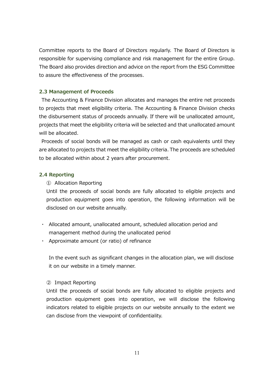Committee reports to the Board of Directors regularly. The Board of Directors is responsible for supervising compliance and risk management for the entire Group. The Board also provides direction and advice on the report from the ESG Committee to assure the effectiveness of the processes.

# **2.3 Management of Proceeds**

The Accounting & Finance Division allocates and manages the entire net proceeds to projects that meet eligibility criteria. The Accounting & Finance Division checks the disbursement status of proceeds annually. If there will be unallocated amount, projects that meet the eligibility criteria will be selected and that unallocated amount will be allocated.

Proceeds of social bonds will be managed as cash or cash equivalents until they are allocated to projects that meet the eligibility criteria. The proceeds are scheduled to be allocated within about 2 years after procurement.

# **2.4 Reporting**

## ① Allocation Reporting

Until the proceeds of social bonds are fully allocated to eligible projects and production equipment goes into operation, the following information will be disclosed on our website annually.

- ・ Allocated amount, unallocated amount, scheduled allocation period and management method during the unallocated period
- ・ Approximate amount (or ratio) of refinance

In the event such as significant changes in the allocation plan, we will disclose it on our website in a timely manner.

## ② Impact Reporting

Until the proceeds of social bonds are fully allocated to eligible projects and production equipment goes into operation, we will disclose the following indicators related to eligible projects on our website annually to the extent we can disclose from the viewpoint of confidentiality.